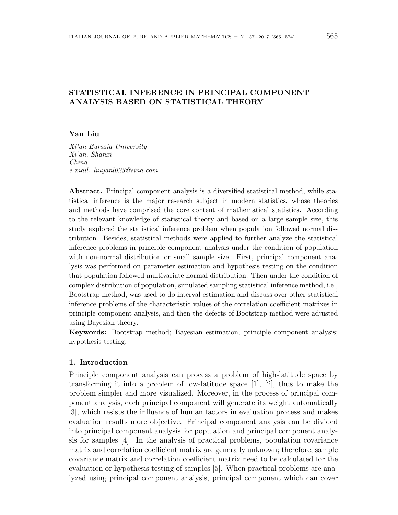# **STATISTICAL INFERENCE IN PRINCIPAL COMPONENT ANALYSIS BASED ON STATISTICAL THEORY**

## **Yan Liu**

*Xi'an Eurasia University Xi'an, Shanxi China e-mail: liuyanl023@sina.com*

**Abstract.** Principal component analysis is a diversified statistical method, while statistical inference is the major research subject in modern statistics, whose theories and methods have comprised the core content of mathematical statistics. According to the relevant knowledge of statistical theory and based on a large sample size, this study explored the statistical inference problem when population followed normal distribution. Besides, statistical methods were applied to further analyze the statistical inference problems in principle component analysis under the condition of population with non-normal distribution or small sample size. First, principal component analysis was performed on parameter estimation and hypothesis testing on the condition that population followed multivariate normal distribution. Then under the condition of complex distribution of population, simulated sampling statistical inference method, i.e., Bootstrap method, was used to do interval estimation and discuss over other statistical inference problems of the characteristic values of the correlation coefficient matrixes in principle component analysis, and then the defects of Bootstrap method were adjusted using Bayesian theory.

**Keywords:** Bootstrap method; Bayesian estimation; principle component analysis; hypothesis testing.

### **1. Introduction**

Principle component analysis can process a problem of high-latitude space by transforming it into a problem of low-latitude space [1], [2], thus to make the problem simpler and more visualized. Moreover, in the process of principal component analysis, each principal component will generate its weight automatically [3], which resists the influence of human factors in evaluation process and makes evaluation results more objective. Principal component analysis can be divided into principal component analysis for population and principal component analysis for samples [4]. In the analysis of practical problems, population covariance matrix and correlation coefficient matrix are generally unknown; therefore, sample covariance matrix and correlation coefficient matrix need to be calculated for the evaluation or hypothesis testing of samples [5]. When practical problems are analyzed using principal component analysis, principal component which can cover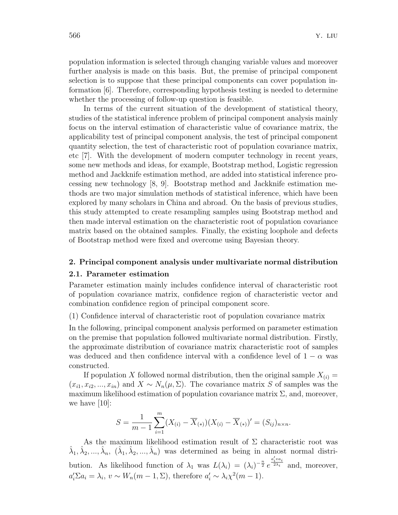population information is selected through changing variable values and moreover further analysis is made on this basis. But, the premise of principal component selection is to suppose that these principal components can cover population information [6]. Therefore, corresponding hypothesis testing is needed to determine whether the processing of follow-up question is feasible.

In terms of the current situation of the development of statistical theory, studies of the statistical inference problem of principal component analysis mainly focus on the interval estimation of characteristic value of covariance matrix, the applicability test of principal component analysis, the test of principal component quantity selection, the test of characteristic root of population covariance matrix, etc [7]. With the development of modern computer technology in recent years, some new methods and ideas, for example, Bootstrap method, Logistic regression method and Jackknife estimation method, are added into statistical inference processing new technology [8, 9]. Bootstrap method and Jackknife estimation methods are two major simulation methods of statistical inference, which have been explored by many scholars in China and abroad. On the basis of previous studies, this study attempted to create resampling samples using Bootstrap method and then made interval estimation on the characteristic root of population covariance matrix based on the obtained samples. Finally, the existing loophole and defects of Bootstrap method were fixed and overcome using Bayesian theory.

### **2. Principal component analysis under multivariate normal distribution**

#### **2.1. Parameter estimation**

Parameter estimation mainly includes confidence interval of characteristic root of population covariance matrix, confidence region of characteristic vector and combination confidence region of principal component score.

(1) Confidence interval of characteristic root of population covariance matrix

In the following, principal component analysis performed on parameter estimation on the premise that population followed multivariate normal distribution. Firstly, the approximate distribution of covariance matrix characteristic root of samples was deduced and then confidence interval with a confidence level of  $1 - \alpha$  was constructed.

If population X followed normal distribution, then the original sample  $X_{(i)} =$  $(x_{i1}, x_{i2}, ..., x_{in})$  and  $X \sim N_n(\mu, \Sigma)$ . The covariance matrix *S* of samples was the maximum likelihood estimation of population covariance matrix  $\Sigma$ , and, moreover, we have  $[10]$ :

$$
S = \frac{1}{m-1} \sum_{i=1}^{m} (X_{(i)} - \overline{X}_{(*)}) (X_{(i)} - \overline{X}_{(*)})' = (S_{ij})_{n \times n}.
$$

As the maximum likelihood estimation result of  $\Sigma$  characteristic root was  $\hat{\lambda}_1, \hat{\lambda}_2, ..., \hat{\lambda}_n, (\hat{\lambda}_1, \hat{\lambda}_2, ..., \hat{\lambda}_n)$  was determined as being in almost normal distribution. As likelihood function of  $\lambda_1$  was  $L(\lambda_i) = (\lambda_i)^{-\frac{n}{2}} e^{\frac{a'_i v a_i}{2\lambda_i}}$  and, moreover,  $a'_i \Sigma a_i = \lambda_i, v \sim W_n(m-1, \Sigma)$ , therefore  $a'_i \sim \lambda_i \chi^2(m-1)$ .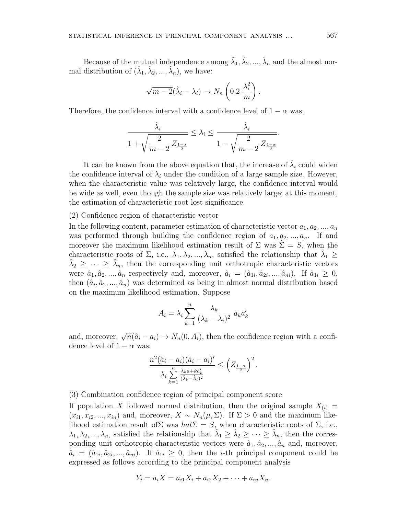Because of the mutual independence among  $\hat{\lambda}_1, \hat{\lambda}_2, ..., \hat{\lambda}_n$  and the almost normal distribution of  $(\hat{\lambda}_1, \hat{\lambda}_2, ..., \hat{\lambda}_n)$ , we have:

$$
\sqrt{m-2}(\hat{\lambda}_i - \lambda_i) \to N_n\left(0.2\ \frac{\lambda_i^2}{m}\right).
$$

Therefore, the confidence interval with a confidence level of  $1 - \alpha$  was:

$$
\frac{\hat{\lambda}_i}{1 + \sqrt{\frac{2}{m-2} Z_{\frac{1-\alpha}{2}}}} \leq \lambda_i \leq \frac{\hat{\lambda}_i}{1 - \sqrt{\frac{2}{m-2} Z_{\frac{1-\alpha}{2}}}}.
$$

It can be known from the above equation that, the increase of  $\hat{\lambda}_i$  could widen the confidence interval of  $\lambda_i$  under the condition of a large sample size. However, when the characteristic value was relatively large, the confidence interval would be wide as well, even though the sample size was relatively large; at this moment, the estimation of characteristic root lost significance.

(2) Confidence region of characteristic vector

In the following content, parameter estimation of characteristic vector  $a_1, a_2, \ldots, a_n$ was performed through building the confidence region of  $a_1, a_2, \ldots, a_n$ . If and moreover the maximum likelihood estimation result of  $\Sigma$  was  $\Sigma = S$ , when the characteristic roots of  $\Sigma$ , i.e.,  $\lambda_1, \lambda_2, ..., \lambda_n$ , satisfied the relationship that  $\hat{\lambda}_1 \geq$  $\hat{\lambda}_2 \geq \cdots \geq \hat{\lambda}_n$ , then the corresponding unit orthotropic characteristic vectors were  $\hat{a}_1, \hat{a}_2, ..., \hat{a}_n$  respectively and, moreover,  $\hat{a}_i = (\hat{a}_{1i}, \hat{a}_{2i}, ..., \hat{a}_{ni})$ . If  $\hat{a}_{1i} \geq 0$ , then  $(\hat{a}_i, \hat{a}_2, \ldots, \hat{a}_n)$  was determined as being in almost normal distribution based on the maximum likelihood estimation. Suppose

$$
A_i = \lambda_i \sum_{k=1}^n \frac{\lambda_k}{(\lambda_k - \lambda_i)^2} a_k a'_k
$$

and, moreover,  $\sqrt{n}(\hat{a}_i - a_i) \rightarrow N_n(0, A_i)$ , then the confidence region with a confidence level of  $1 - \alpha$  was:

$$
\frac{n^2(\hat{a}_i - a_i)(\hat{a}_i - a_i)'}{\lambda_i \sum_{k=1}^n \frac{\hat{\lambda}_k a + k a'_k}{(\hat{\lambda}_k - \hat{\lambda}_i)^2}} \leq \left(Z_{\frac{1-\alpha}{2}}\right)^2.
$$

(3) Combination confidence region of principal component score

If population X followed normal distribution, then the original sample  $X_{(i)} =$  $(x_{i1}, x_{i2}, ..., x_{in})$  and, moreover,  $X \sim N_n(\mu, \Sigma)$ . If  $\Sigma > 0$  and the maximum likelihood estimation result of  $\Sigma$  was  $hat\Sigma = S$ , when characteristic roots of  $\Sigma$ , i.e.,  $\lambda_1, \lambda_2, ..., \lambda_n$ , satisfied the relationship that  $\hat{\lambda}_1 \geq \hat{\lambda}_2 \geq ... \geq \hat{\lambda}_n$ , then the corresponding unit orthotropic characteristic vectors were  $\hat{a}_1, \hat{a}_2, \ldots, \hat{a}_n$  and, moreover,  $\hat{a}_i = (\hat{a}_{1i}, \hat{a}_{2i}, \dots, \hat{a}_{ni})$ . If  $\hat{a}_{1i} \geq 0$ , then the *i*-th principal component could be expressed as follows according to the principal component analysis

$$
Y_i = a_i X = a_{i1} X_i + a_{i2} X_2 + \dots + a_{in} X_n.
$$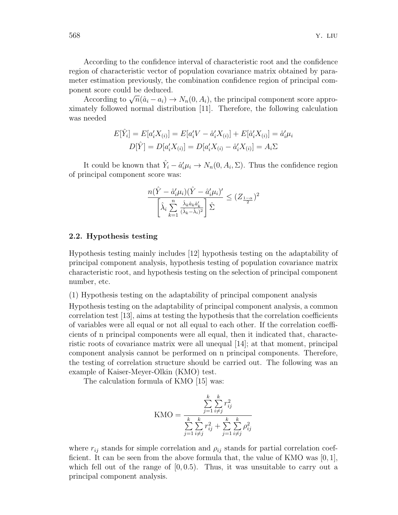According to the confidence interval of characteristic root and the confidence region of characteristic vector of population covariance matrix obtained by parameter estimation previously, the combination confidence region of principal component score could be deduced.

According to  $\sqrt{n}(\hat{a}_i - a_i) \rightarrow N_n(0, A_i)$ , the principal component score approximately followed normal distribution [11]. Therefore, the following calculation was needed

$$
E[\hat{Y}_i] = E[a_i'X_{(i)}] = E[a_i'V - \hat{a}_i'X_{(i)}] + E[\hat{a}_i'X_{(i)}] = \hat{a}_i'\mu_i
$$
  

$$
D[\hat{Y}] = D[a_i'X_{(i)}] = D[a_i'X_{(i)} - \hat{a}_i'X_{(i)}] = A_i\Sigma
$$

It could be known that  $\hat{Y}_i - \hat{a}'_i \mu_i \to N_n(0, A_i, \Sigma)$ . Thus the confidence region of principal component score was:

$$
\frac{n(\hat{Y} - \hat{a}'_i\mu_i)(\hat{Y} - \hat{a}'_i\mu_i)'}{\left[\hat{\lambda}_i \sum_{k=1}^n \frac{\hat{\lambda}_k \hat{a}_k \hat{a}'_k}{(\hat{\lambda}_k - \hat{\lambda}_i)^2}\right] \hat{\Sigma}} \le (Z_{\frac{1-\alpha}{2}})^2
$$

#### **2.2. Hypothesis testing**

Hypothesis testing mainly includes [12] hypothesis testing on the adaptability of principal component analysis, hypothesis testing of population covariance matrix characteristic root, and hypothesis testing on the selection of principal component number, etc.

(1) Hypothesis testing on the adaptability of principal component analysis

Hypothesis testing on the adaptability of principal component analysis, a common correlation test [13], aims at testing the hypothesis that the correlation coefficients of variables were all equal or not all equal to each other. If the correlation coefficients of n principal components were all equal, then it indicated that, characteristic roots of covariance matrix were all unequal [14]; at that moment, principal component analysis cannot be performed on n principal components. Therefore, the testing of correlation structure should be carried out. The following was an example of Kaiser-Meyer-Olkin (KMO) test.

The calculation formula of KMO [15] was:

$$
KMO = \frac{\sum_{j=1}^{k} \sum_{i \neq j}^{k} r_{ij}^2}{\sum_{j=1}^{k} \sum_{i \neq j}^{k} r_{ij}^2 + \sum_{j=1}^{k} \sum_{i \neq j}^{k} \rho_{ij}^2}
$$

where  $r_{ij}$  stands for simple correlation and  $\rho_{ij}$  stands for partial correlation coefficient. It can be seen from the above formula that, the value of KMO was [0*,* 1], which fell out of the range of [0*,* 0*.*5). Thus, it was unsuitable to carry out a principal component analysis.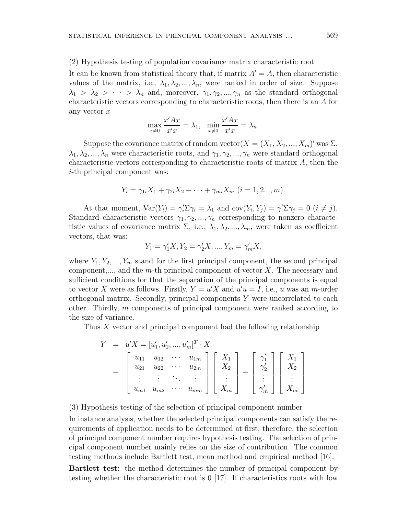### (2) Hypothesis testing of population covariance matrix characteristic root

It can be known from statistical theory that, if matrix  $A' = A$ , then characteristic values of the matrix, i.e.,  $\lambda_1, \lambda_2, ..., \lambda_n$ , were ranked in order of size. Suppose  $\lambda_1$  *>*  $\lambda_2$  *>*  $\cdots$  *>*  $\lambda_n$  and, moreover,  $\gamma_1, \gamma_2, ..., \gamma_n$  as the standard orthogonal characteristic vectors corresponding to characteristic roots, then there is an *A* for any vector *x*

$$
\max_{x \neq 0} \frac{x'Ax}{x'x} = \lambda_1, \quad \min_{x \neq 0} \frac{x'Ax}{x'x} = \lambda_n.
$$

Suppose the covariance matrix of random vector $(X = (X_1, X_2, ..., X_m)'$  was  $\Sigma$ ,  $\lambda_1, \lambda_2, ..., \lambda_n$  were characteristic roots, and  $\gamma_1, \gamma_2, ..., \gamma_n$  were standard orthogonal characteristic vectors corresponding to characteristic roots of matrix *A*, then the *i*-th principal component was:

$$
Y_i = \gamma_{1i} X_1 + \gamma_{2i} X_2 + \dots + \gamma_{mi} X_m \ (i = 1, 2..., m).
$$

At that moment,  $\text{Var}(Y_i) = \gamma_i' \Sigma \gamma_i = \lambda_1$  and  $\text{cov}(Y_i, Y_j) = \gamma' \Sigma \gamma_j = 0$  ( $i \neq j$ ). Standard characteristic vectors  $\gamma_1, \gamma_2, ..., \gamma_n$  corresponding to nonzero characteristic values of covariance matrix  $\Sigma$ , i.e.,  $\lambda_1, \lambda_2, ..., \lambda_m$ , were taken as coefficient vectors, that was:

$$
Y_1 = \gamma_1' X, Y_2 = \gamma_2' X, ..., Y_m = \gamma_m' X,
$$

where  $Y_1, Y_2, ..., Y_m$  stand for the first principal component, the second principal component,..., and the *m*-th principal component of vector *X*. The necessary and sufficient conditions for that the separation of the principal components is equal to vector *X* were as follows. Firstly,  $Y = u'X$  and  $u'u = I$ , i.e., *u* was an *m*-order orthogonal matrix. Secondly, principal components *Y* were uncorrelated to each other. Thirdly, *m* components of principal component were ranked according to the size of variance.

Thus *X* vector and principal component had the following relationship

$$
Y = u'X = [u'_1, u'_2, ..., u'_m]^T \cdot X
$$
  
= 
$$
\begin{bmatrix} u_{11} & u_{12} & \cdots & u_{1m} \\ u_{21} & u_{22} & \cdots & u_{2m} \\ \vdots & \vdots & \ddots & \vdots \\ u_{m1} & u_{m2} & \cdots & u_{mm} \end{bmatrix} \begin{bmatrix} X_1 \\ X_2 \\ \vdots \\ X_m \end{bmatrix} = \begin{bmatrix} \gamma'_1 \\ \gamma'_2 \\ \vdots \\ \gamma'_m \end{bmatrix} \begin{bmatrix} X_1 \\ X_2 \\ \vdots \\ X_m \end{bmatrix}
$$

(3) Hypothesis testing of the selection of principal component number

In instance analysis, whether the selected principal components can satisfy the requirements of application needs to be determined at first; therefore, the selection of principal component number requires hypothesis testing. The selection of principal component number mainly relies on the size of contribution. The common testing methods include Bartlett test, mean method and empirical method [16].

**Bartlett test:** the method determines the number of principal component by testing whether the characteristic root is 0 [17]. If characteristics roots with low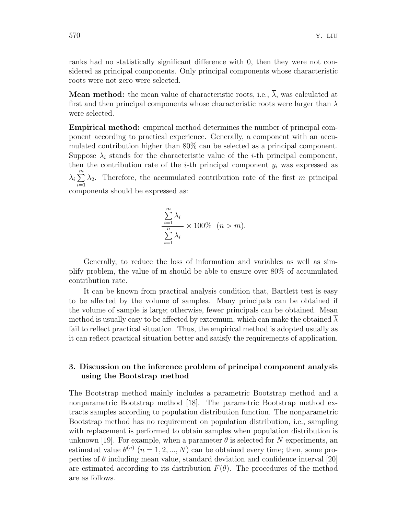ranks had no statistically significant difference with 0, then they were not considered as principal components. Only principal components whose characteristic roots were not zero were selected.

**Mean method:** the mean value of characteristic roots, i.e.,  $\overline{\lambda}$ , was calculated at first and then principal components whose characteristic roots were larger than  $\overline{\lambda}$ were selected.

**Empirical method:** empirical method determines the number of principal component according to practical experience. Generally, a component with an accumulated contribution higher than 80% can be selected as a principal component. Suppose  $\lambda_i$  stands for the characteristic value of the *i*-th principal component, then the contribution rate of the *i*-th principal component  $y_i$  was expressed as *λi* ∑*m i*=1 *λ*2. Therefore, the accumulated contribution rate of the first *m* principal components should be expressed as:

$$
\frac{\sum_{i=1}^{m} \lambda_i}{\sum_{i=1}^{n} \lambda_i} \times 100\% \quad (n > m).
$$

Generally, to reduce the loss of information and variables as well as simplify problem, the value of m should be able to ensure over 80% of accumulated contribution rate.

It can be known from practical analysis condition that, Bartlett test is easy to be affected by the volume of samples. Many principals can be obtained if the volume of sample is large; otherwise, fewer principals can be obtained. Mean method is usually easy to be affected by extremum, which can make the obtained  $\lambda$ fail to reflect practical situation. Thus, the empirical method is adopted usually as it can reflect practical situation better and satisfy the requirements of application.

## **3. Discussion on the inference problem of principal component analysis using the Bootstrap method**

The Bootstrap method mainly includes a parametric Bootstrap method and a nonparametric Bootstrap method [18]. The parametric Bootstrap method extracts samples according to population distribution function. The nonparametric Bootstrap method has no requirement on population distribution, i.e., sampling with replacement is performed to obtain samples when population distribution is unknown [19]. For example, when a parameter  $\theta$  is selected for *N* experiments, an estimated value  $\theta^{(n)}$   $(n = 1, 2, ..., N)$  can be obtained every time; then, some properties of  $\theta$  including mean value, standard deviation and confidence interval [20] are estimated according to its distribution  $F(\theta)$ . The procedures of the method are as follows.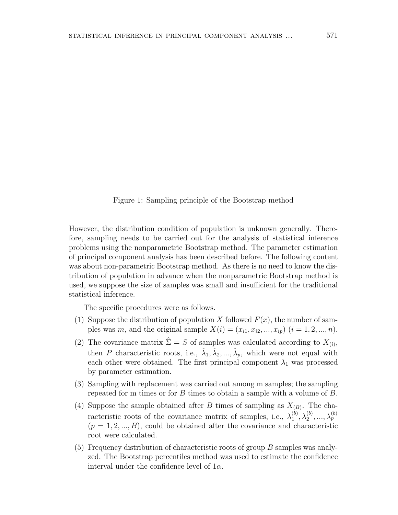Figure 1: Sampling principle of the Bootstrap method

However, the distribution condition of population is unknown generally. Therefore, sampling needs to be carried out for the analysis of statistical inference problems using the nonparametric Bootstrap method. The parameter estimation of principal component analysis has been described before. The following content was about non-parametric Bootstrap method. As there is no need to know the distribution of population in advance when the nonparametric Bootstrap method is used, we suppose the size of samples was small and insufficient for the traditional statistical inference.

The specific procedures were as follows.

- (1) Suppose the distribution of population *X* followed  $F(x)$ , the number of samples was *m*, and the original sample  $X(i) = (x_{i1}, x_{i2}, ..., x_{ip})$  ( $i = 1, 2, ..., n$ ).
- (2) The covariance matrix  $\hat{\Sigma} = S$  of samples was calculated according to  $X_{(i)}$ , then *P* characteristic roots, i.e.,  $\hat{\lambda}_1, \hat{\lambda}_2, ..., \hat{\lambda}_p$ , which were not equal with each other were obtained. The first principal component  $\lambda_1$  was processed by parameter estimation.
- (3) Sampling with replacement was carried out among m samples; the sampling repeated for m times or for *B* times to obtain a sample with a volume of *B*.
- (4) Suppose the sample obtained after *B* times of sampling as  $X_{(B)}$ . The characteristic roots of the covariance matrix of samples, i.e.,  $\lambda_1^{(b)}$  $\lambda_1^{(b)}, \lambda_2^{(b)}, ..., \lambda_p^{(b)}$  $(p = 1, 2, \ldots, B)$ , could be obtained after the covariance and characteristic root were calculated.
- (5) Frequency distribution of characteristic roots of group *B* samples was analyzed. The Bootstrap percentiles method was used to estimate the confidence interval under the confidence level of 1*α*.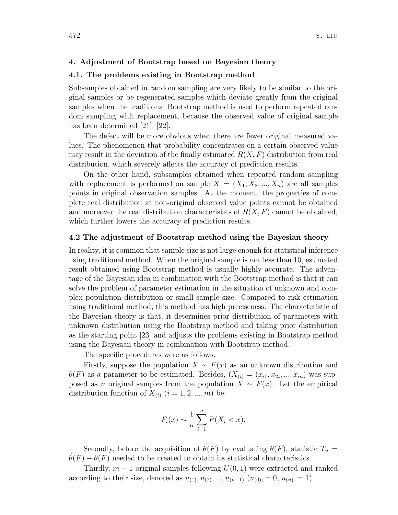### **4. Adjustment of Bootstrap based on Bayesian theory**

### **4.1. The problems existing in Bootstrap method**

Subsamples obtained in random sampling are very likely to be similar to the original samples or be regenerated samples which deviate greatly from the original samples when the traditional Bootstrap method is used to perform repeated random sampling with replacement, because the observed value of original sample has been determined [21], [22].

The defect will be more obvious when there are fewer original measured values. The phenomenon that probability concentrates on a certain observed value may result in the deviation of the finally estimated *R*(*X, F*) distribution from real distribution, which severely affects the accuracy of prediction results.

On the other hand, subsamples obtained when repeated random sampling with replacement is performed on sample  $X = (X_1, X_2, ..., X_n)$  are all samples points in original observation samples. At the moment, the properties of complete real distribution at non-original observed value points cannot be obtained and moreover the real distribution characteristics of  $R(X, F)$  cannot be obtained, which further lowers the accuracy of prediction results.

### **4.2 The adjustment of Bootstrap method using the Bayesian theory**

In reality, it is common that sample size is not large enough for statistical inference using traditional method. When the original sample is not less than 10, estimated result obtained using Bootstrap method is usually highly accurate. The advantage of the Bayesian idea in combination with the Bootstrap method is that it can solve the problem of parameter estimation in the situation of unknown and complex population distribution or small sample size. Compared to risk estimation using traditional method, this method has high preciseness. The characteristic of the Bayesian theory is that, it determines prior distribution of parameters with unknown distribution using the Bootstrap method and taking prior distribution as the starting point [23] and adjusts the problems existing in Bootstrap method using the Bayesian theory in combination with Bootstrap method.

The specific procedures were as follows.

Firstly, suppose the population  $X \sim F(x)$  as an unknown distribution and  $\theta(F)$  as a parameter to be estimated. Besides,  $(X_{(i)} = (x_{i1}, x_{2i}, ..., x_{in})$  was supposed as *n* original samples from the population  $X \sim F(x)$ . Let the empirical distribution function of  $X_{(i)}$   $(i = 1, 2, ..., m)$  be:

$$
F_i(x) \sim \frac{1}{n} \sum_{i=1}^n P(X_i < x).
$$

Secondly, before the acquisition of  $\hat{\theta}(F)$  by evaluating  $\theta(F)$ , statistic  $T_n =$  $\theta(F) - \theta(F)$  needed to be created to obtain its statistical characteristics.

Thirdly,  $m-1$  original samples following  $U(0, 1)$  were extracted and ranked according to their size, denoted as  $u_{(1)}, u_{(2)}, ..., u_{(n-1)}$   $(u_{(0)}, = 0, u_{(n)}, = 1)$ .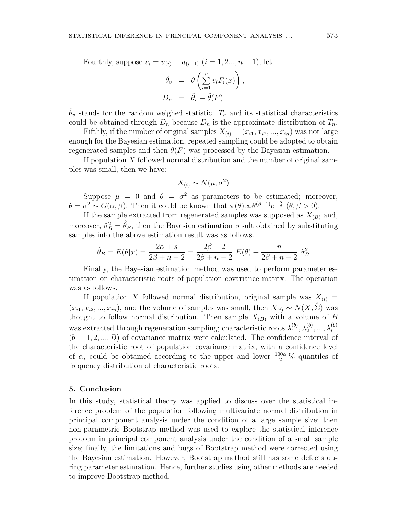Fourthly, suppose  $v_i = u_{(i)} - u_{(i-1)}$   $(i = 1, 2, ..., n-1)$ , let:

$$
\hat{\theta}_v = \theta \left( \sum_{i=1}^n v_i F_i(x) \right), \nD_n = \hat{\theta}_v - \hat{\theta}(F)
$$

 $\hat{\theta}_v$  stands for the random weighed statistic.  $T_n$  and its statistical characteristics could be obtained through  $D_n$  because  $D_n$  is the approximate distribution of  $T_n$ .

Fifthly, if the number of original samples  $X_{(i)} = (x_{i1}, x_{i2}, ..., x_{in})$  was not large enough for the Bayesian estimation, repeated sampling could be adopted to obtain regenerated samples and then  $\theta(F)$  was processed by the Bayesian estimation.

If population *X* followed normal distribution and the number of original samples was small, then we have:

$$
X_{(i)} \sim N(\mu, \sigma^2)
$$

Suppose  $\mu = 0$  and  $\theta = \sigma^2$  as parameters to be estimated; moreover,  $\theta = \sigma^2 \sim G(\alpha, \beta)$ . Then it could be known that  $\pi(\theta) \infty \theta^{(\beta-1)} e^{-\frac{\alpha}{\theta}}$  ( $\theta, \beta > 0$ ).

If the sample extracted from regenerated samples was supposed as  $X_{(B)}$  and, moreover,  $\hat{\sigma}_B^2 = \hat{\theta}_B$ , then the Bayesian estimation result obtained by substituting samples into the above estimation result was as follows.

$$
\hat{\theta}_B = E(\theta|x) = \frac{2\alpha + s}{2\beta + n - 2} = \frac{2\beta - 2}{2\beta + n - 2} E(\theta) + \frac{n}{2\beta + n - 2} \hat{\sigma}_B^2
$$

Finally, the Bayesian estimation method was used to perform parameter estimation on characteristic roots of population covariance matrix. The operation was as follows.

If population X followed normal distribution, original sample was  $X_{(i)} =$  $(x_{i1}, x_{i2}, ..., x_{in})$ , and the volume of samples was small, then  $X_{(i)} \sim N(\overline{X}, \hat{\Sigma})$  was thought to follow normal distribution. Then sample  $X_{(B)}$  with a volume of *B* was extracted through regeneration sampling; characteristic roots  $\lambda_1^{(b)}$  $\lambda_1^{(b)}, \lambda_2^{(b)}, ..., \lambda_p^{(b)}$  $(b = 1, 2, \ldots, B)$  of covariance matrix were calculated. The confidence interval of the characteristic root of population covariance matrix, with a confidence level of  $\alpha$ , could be obtained according to the upper and lower  $\frac{100\alpha}{2}$ % quantiles of frequency distribution of characteristic roots.

### **5. Conclusion**

In this study, statistical theory was applied to discuss over the statistical inference problem of the population following multivariate normal distribution in principal component analysis under the condition of a large sample size; then non-parametric Bootstrap method was used to explore the statistical inference problem in principal component analysis under the condition of a small sample size; finally, the limitations and bugs of Bootstrap method were corrected using the Bayesian estimation. However, Bootstrap method still has some defects during parameter estimation. Hence, further studies using other methods are needed to improve Bootstrap method.